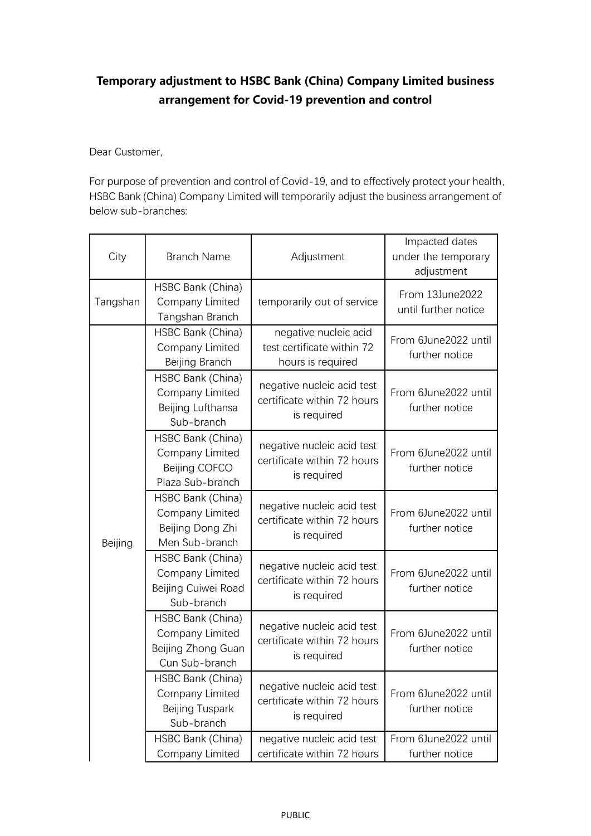## **Temporary adjustment to HSBC Bank (China) Company Limited business arrangement for Covid-19 prevention and control**

Dear Customer,

For purpose of prevention and control of Covid-19, and to effectively protect your health, HSBC Bank (China) Company Limited will temporarily adjust the business arrangement of below sub-branches:

| City     | <b>Branch Name</b>                                                           | Adjustment                                                               | Impacted dates<br>under the temporary<br>adjustment |
|----------|------------------------------------------------------------------------------|--------------------------------------------------------------------------|-----------------------------------------------------|
| Tangshan | HSBC Bank (China)<br>Company Limited<br>Tangshan Branch                      | temporarily out of service                                               | From 13June2022<br>until further notice             |
| Beijing  | HSBC Bank (China)<br>Company Limited<br>Beijing Branch                       | negative nucleic acid<br>test certificate within 72<br>hours is required | From 6June2022 until<br>further notice              |
|          | HSBC Bank (China)<br>Company Limited<br>Beijing Lufthansa<br>Sub-branch      | negative nucleic acid test<br>certificate within 72 hours<br>is required | From 6June2022 until<br>further notice              |
|          | HSBC Bank (China)<br>Company Limited<br>Beijing COFCO<br>Plaza Sub-branch    | negative nucleic acid test<br>certificate within 72 hours<br>is required | From 6June2022 until<br>further notice              |
|          | HSBC Bank (China)<br>Company Limited<br>Beijing Dong Zhi<br>Men Sub-branch   | negative nucleic acid test<br>certificate within 72 hours<br>is required | From 6June2022 until<br>further notice              |
|          | HSBC Bank (China)<br>Company Limited<br>Beijing Cuiwei Road<br>Sub-branch    | negative nucleic acid test<br>certificate within 72 hours<br>is required | From 6June2022 until<br>further notice              |
|          | HSBC Bank (China)<br>Company Limited<br>Beijing Zhong Guan<br>Cun Sub-branch | negative nucleic acid test<br>certificate within 72 hours<br>is required | From 6June2022 until<br>further notice              |
|          | HSBC Bank (China)<br>Company Limited<br>Beijing Tuspark<br>Sub-branch        | negative nucleic acid test<br>certificate within 72 hours<br>is required | From 6June2022 until<br>further notice              |
|          | HSBC Bank (China)<br>Company Limited                                         | negative nucleic acid test<br>certificate within 72 hours                | From 6June2022 until<br>further notice              |